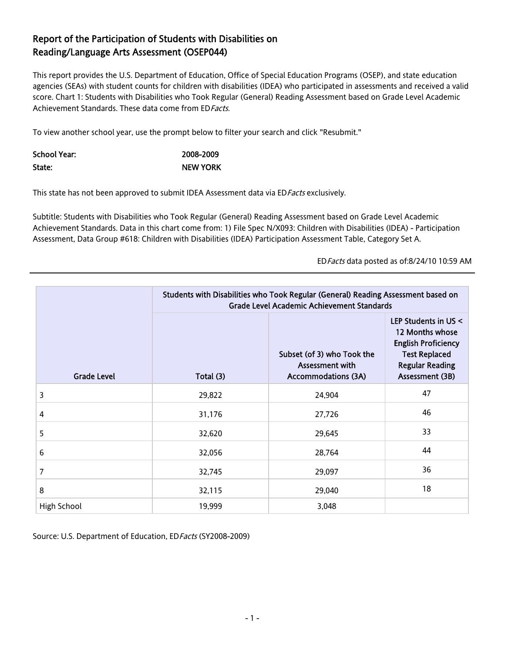## Report of the Participation of Students with Disabilities on Reading/Language Arts Assessment (OSEP044)

This report provides the U.S. Department of Education, Office of Special Education Programs (OSEP), and state education agencies (SEAs) with student counts for children with disabilities (IDEA) who participated in assessments and received a valid score. Chart 1: Students with Disabilities who Took Regular (General) Reading Assessment based on Grade Level Academic Achievement Standards. These data come from ED Facts.

To view another school year, use the prompt below to filter your search and click "Resubmit."

| School Year: | 2008-2009       |
|--------------|-----------------|
| State:       | <b>NEW YORK</b> |

This state has not been approved to submit IDEA Assessment data via ED Facts exclusively.

Subtitle: Students with Disabilities who Took Regular (General) Reading Assessment based on Grade Level Academic Achievement Standards. Data in this chart come from: 1) File Spec N/X093: Children with Disabilities (IDEA) - Participation Assessment, Data Group #618: Children with Disabilities (IDEA) Participation Assessment Table, Category Set A.

EDFacts data posted as of:8/24/10 10:59 AM

|                    | Students with Disabilities who Took Regular (General) Reading Assessment based on<br><b>Grade Level Academic Achievement Standards</b> |                                                                                    |                                                                                                                                            |  |
|--------------------|----------------------------------------------------------------------------------------------------------------------------------------|------------------------------------------------------------------------------------|--------------------------------------------------------------------------------------------------------------------------------------------|--|
| <b>Grade Level</b> | Total (3)                                                                                                                              | Subset (of 3) who Took the<br><b>Assessment with</b><br><b>Accommodations (3A)</b> | LEP Students in US <<br>12 Months whose<br><b>English Proficiency</b><br><b>Test Replaced</b><br><b>Regular Reading</b><br>Assessment (3B) |  |
| 3                  | 29,822                                                                                                                                 | 24,904                                                                             | 47                                                                                                                                         |  |
| 4                  | 31,176                                                                                                                                 | 27,726                                                                             | 46                                                                                                                                         |  |
| 5                  | 32,620                                                                                                                                 | 29,645                                                                             | 33                                                                                                                                         |  |
| 6                  | 32,056                                                                                                                                 | 28,764                                                                             | 44                                                                                                                                         |  |
| 7                  | 32,745                                                                                                                                 | 29,097                                                                             | 36                                                                                                                                         |  |
| 8                  | 32,115                                                                                                                                 | 29,040                                                                             | 18                                                                                                                                         |  |
| High School        | 19,999                                                                                                                                 | 3,048                                                                              |                                                                                                                                            |  |

Source: U.S. Department of Education, ED Facts (SY2008-2009)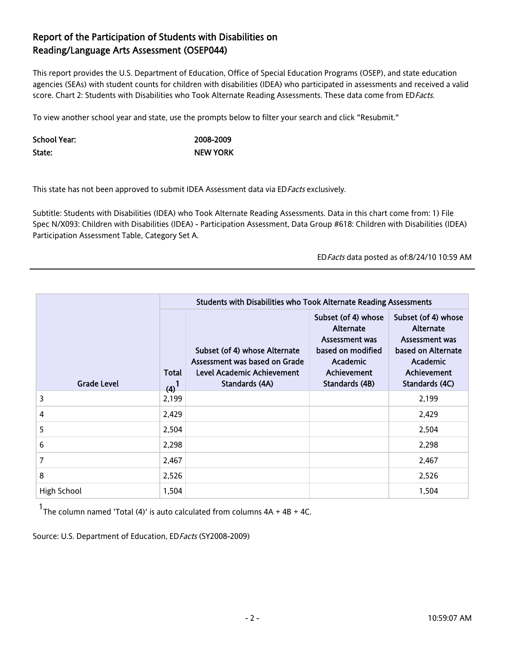## Report of the Participation of Students with Disabilities on Reading/Language Arts Assessment (OSEP044)

This report provides the U.S. Department of Education, Office of Special Education Programs (OSEP), and state education agencies (SEAs) with student counts for children with disabilities (IDEA) who participated in assessments and received a valid score. Chart 2: Students with Disabilities who Took Alternate Reading Assessments. These data come from EDFacts.

To view another school year and state, use the prompts below to filter your search and click "Resubmit."

| School Year: | 2008-2009       |
|--------------|-----------------|
| State:       | <b>NEW YORK</b> |

This state has not been approved to submit IDEA Assessment data via ED Facts exclusively.

Subtitle: Students with Disabilities (IDEA) who Took Alternate Reading Assessments. Data in this chart come from: 1) File Spec N/X093: Children with Disabilities (IDEA) - Participation Assessment, Data Group #618: Children with Disabilities (IDEA) Participation Assessment Table, Category Set A.

EDFacts data posted as of:8/24/10 10:59 AM

|                    | Students with Disabilities who Took Alternate Reading Assessments |                                                                                                                |                                                                                                                                    |                                                                                                                              |  |
|--------------------|-------------------------------------------------------------------|----------------------------------------------------------------------------------------------------------------|------------------------------------------------------------------------------------------------------------------------------------|------------------------------------------------------------------------------------------------------------------------------|--|
| <b>Grade Level</b> | Total<br>(4)                                                      | Subset (of 4) whose Alternate<br>Assessment was based on Grade<br>Level Academic Achievement<br>Standards (4A) | Subset (of 4) whose<br>Alternate<br><b>Assessment was</b><br>based on modified<br><b>Academic</b><br>Achievement<br>Standards (4B) | Subset (of 4) whose<br>Alternate<br>Assessment was<br>based on Alternate<br><b>Academic</b><br>Achievement<br>Standards (4C) |  |
| 3                  | 2,199                                                             |                                                                                                                |                                                                                                                                    | 2,199                                                                                                                        |  |
| 4                  | 2,429                                                             |                                                                                                                |                                                                                                                                    | 2,429                                                                                                                        |  |
| 5                  | 2,504                                                             |                                                                                                                |                                                                                                                                    | 2,504                                                                                                                        |  |
| 6                  | 2,298                                                             |                                                                                                                |                                                                                                                                    | 2,298                                                                                                                        |  |
| 7                  | 2,467                                                             |                                                                                                                |                                                                                                                                    | 2,467                                                                                                                        |  |
| 8                  | 2,526                                                             |                                                                                                                |                                                                                                                                    | 2,526                                                                                                                        |  |
| High School        | 1,504                                                             |                                                                                                                |                                                                                                                                    | 1,504                                                                                                                        |  |

 $1$ <sub>The column named 'Total (4)' is auto calculated from columns  $4A + 4B + 4C$ .</sub>

Source: U.S. Department of Education, ED Facts (SY2008-2009)